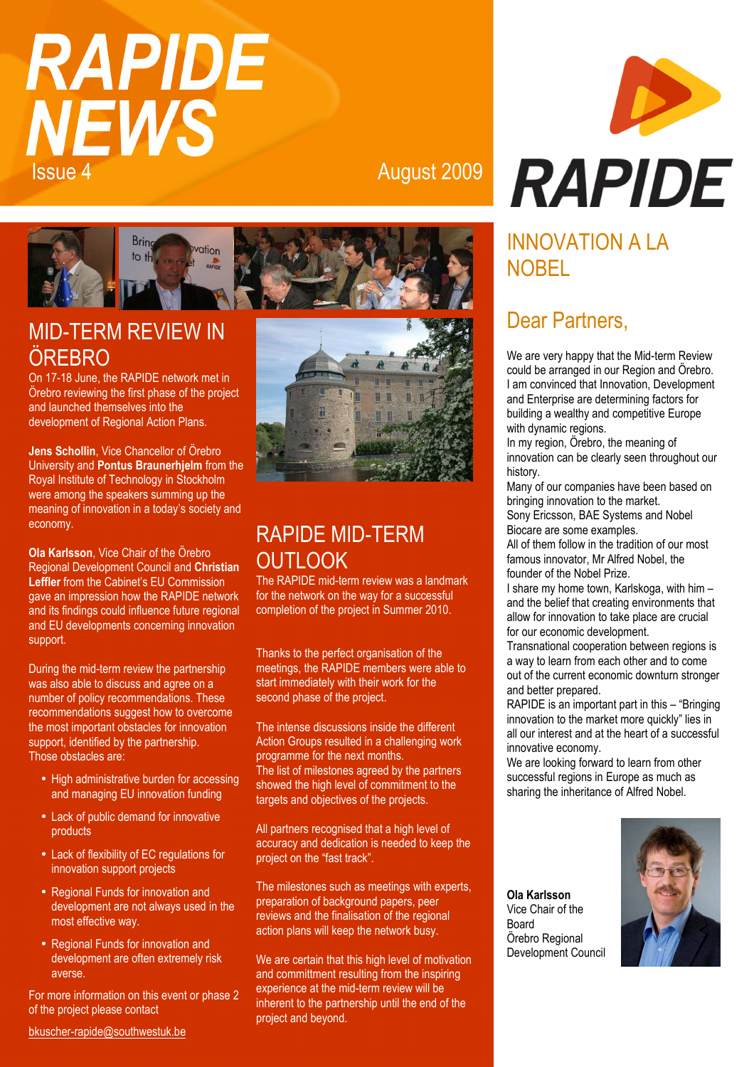# **RAPIDE NEWS Issue 4** August 2009



## MID-TERM REVIEW IN ÖREBRO

On 17-18 June, the RAPIDE network met in Örebro reviewing the first phase of the project and launched themselves into the development of Regional Action Plans.

**Jens Schollin**, Vice Chancellor of Örebro University and **Pontus Braunerhjelm** from the Royal Institute of Technology in Stockholm were among the speakers summing up the meaning of innovation in a today's society and economy.

**Ola Karlsson**, Vice Chair of the Örebro Regional Development Council and **Christian Leffler** from the Cabinet's EU Commission gave an impression how the RAPIDE network and its findings could influence future regional and EU developments concerning innovation support.

During the mid-term review the partnership was also able to discuss and agree on a number of policy recommendations. These recommendations suggest how to overcome the most important obstacles for innovation support, identified by the partnership. Those obstacles are:

- High administrative burden for accessing and managing EU innovation funding
- Lack of public demand for innovative products
- Lack of flexibility of EC regulations for innovation support projects
- Regional Funds for innovation and development are not always used in the most effective way.
- Regional Funds for innovation and development are often extremely risk averse.

For more information on this event or phase 2 of the project please contact





# RAPIDE MID-TERM **OUTLOOK**

The RAPIDE mid-term review was a landmark for the network on the way for a successful completion of the project in Summer 2010.

Thanks to the perfect organisation of the meetings, the RAPIDE members were able to start immediately with their work for the second phase of the project.

The intense discussions inside the different Action Groups resulted in a challenging work programme for the next months. The list of milestones agreed by the partners showed the high level of commitment to the targets and objectives of the projects.

All partners recognised that a high level of accuracy and dedication is needed to keep the project on the "fast track".

The milestones such as meetings with experts, preparation of background papers, peer reviews and the finalisation of the regional action plans will keep the network busy.

We are certain that this high level of motivation and committment resulting from the inspiring experience at the mid-term review will be inherent to the partnership until the end of the project and beyond.



# INNOVATION A LA **NOBEL**

#### Dear Partners,

We are very happy that the Mid-term Review could be arranged in our Region and Örebro. I am convinced that Innovation, Development and Enterprise are determining factors for building a wealthy and competitive Europe with dynamic regions.

In my region, Örebro, the meaning of innovation can be clearly seen throughout our history.

Many of our companies have been based on bringing innovation to the market. Sony Ericsson, BAE Systems and Nobel Biocare are some examples.

All of them follow in the tradition of our most famous innovator, Mr Alfred Nobel, the founder of the Nobel Prize.

I share my home town, Karlskoga, with him – and the belief that creating environments that allow for innovation to take place are crucial for our economic development.

Transnational cooperation between regions is a way to learn from each other and to come out of the current economic downturn stronger and better prepared.

RAPIDE is an important part in this – "Bringing innovation to the market more quickly" lies in all our interest and at the heart of a successful innovative economy.

We are looking forward to learn from other successful regions in Europe as much as sharing the inheritance of Alfred Nobel.

**Ola Karlsson**  Vice Chair of the Board Örebro Regional Development Council